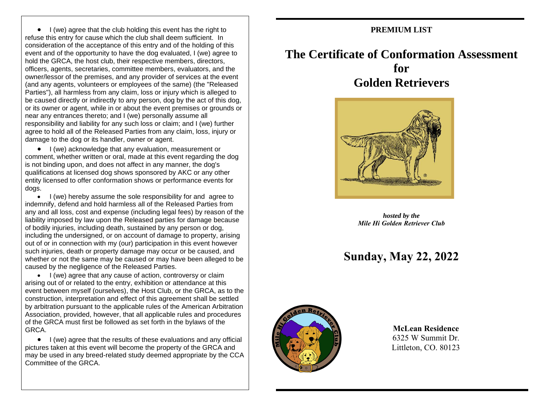• I (we) agree that the club holding this event has the right to refuse this entry for cause which the club shall deem sufficient. In consideration of the acceptance of this entry and of the holding of this event and of the opportunity to have the dog evaluated, I (we) agree to hold the GRCA, the host club, their respective members, directors, officers, agents, secretaries, committee members, evaluators, and the owner/lessor of the premises, and any provider of services at the event (and any agents, volunteers or employees of the same) (the "Released Parties"), all harmless from any claim, loss or injury which is alleged to be caused directly or indirectly to any person, dog by the act of this dog, or its owner or agent, while in or about the event premises or grounds or near any entrances thereto; and I (we) personally assume all responsibility and liability for any such loss or claim; and I (we) further agree to hold all of the Released Parties from any claim, loss, injury or damage to the dog or its handler, owner or agent.

• I (we) acknowledge that any evaluation, measurement or comment, whether written or oral, made at this event regarding the dog is not binding upon, and does not affect in any manner, the dog's qualifications at licensed dog shows sponsored by AKC or any other entity licensed to offer conformation shows or performance events for dogs.

• I (we) hereby assume the sole responsibility for and agree to indemnify, defend and hold harmless all of the Released Parties from any and all loss, cost and expense (including legal fees) by reason of the liability imposed by law upon the Released parties for damage because of bodily injuries, including death, sustained by any person or dog, including the undersigned, or on account of damage to property, arising out of or in connection with my (our) participation in this event however such injuries, death or property damage may occur or be caused, and whether or not the same may be caused or may have been alleged to be caused by the negligence of the Released Parties.

• I (we) agree that any cause of action, controversy or claim arising out of or related to the entry, exhibition or attendance at this event between myself (ourselves), the Host Club, or the GRCA, as to the construction, interpretation and effect of this agreement shall be settled by arbitration pursuant to the applicable rules of the American Arbitration Association, provided, however, that all applicable rules and procedures of the GRCA must first be followed as set forth in the bylaws of the GRCA.

• I (we) agree that the results of these evaluations and any official pictures taken at this event will become the property of the GRCA and may be used in any breed-related study deemed appropriate by the CCA Committee of the GRCA.

### **PREMIUM LIST**

# **The Certificate of Conformation Assessment for Golden Retrievers**



*hosted by the Mile Hi Golden Retriever Club*

# **Sunday, May 22, 2022**



### **McLean Residence** 6325 W Summit Dr. Littleton, CO. 80123